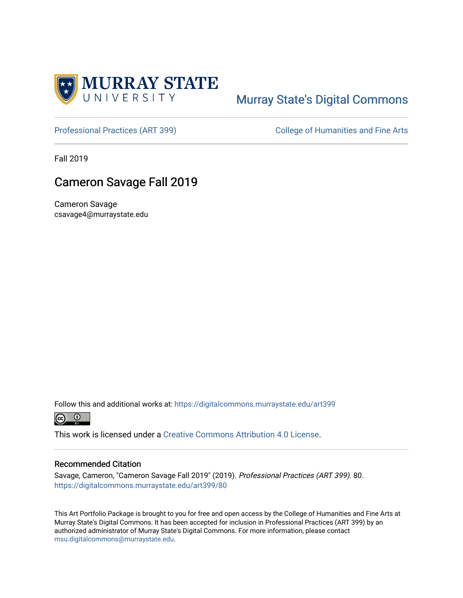

## [Murray State's Digital Commons](https://digitalcommons.murraystate.edu/)

[Professional Practices \(ART 399\)](https://digitalcommons.murraystate.edu/art399) College of Humanities and Fine Arts

Fall 2019

## Cameron Savage Fall 2019

Cameron Savage csavage4@murraystate.edu

Follow this and additional works at: [https://digitalcommons.murraystate.edu/art399](https://digitalcommons.murraystate.edu/art399?utm_source=digitalcommons.murraystate.edu%2Fart399%2F80&utm_medium=PDF&utm_campaign=PDFCoverPages) 



This work is licensed under a [Creative Commons Attribution 4.0 License](https://creativecommons.org/licenses/by/4.0/).

## Recommended Citation

Savage, Cameron, "Cameron Savage Fall 2019" (2019). Professional Practices (ART 399). 80. [https://digitalcommons.murraystate.edu/art399/80](https://digitalcommons.murraystate.edu/art399/80?utm_source=digitalcommons.murraystate.edu%2Fart399%2F80&utm_medium=PDF&utm_campaign=PDFCoverPages)

This Art Portfolio Package is brought to you for free and open access by the College of Humanities and Fine Arts at Murray State's Digital Commons. It has been accepted for inclusion in Professional Practices (ART 399) by an authorized administrator of Murray State's Digital Commons. For more information, please contact [msu.digitalcommons@murraystate.edu](mailto:msu.digitalcommons@murraystate.edu).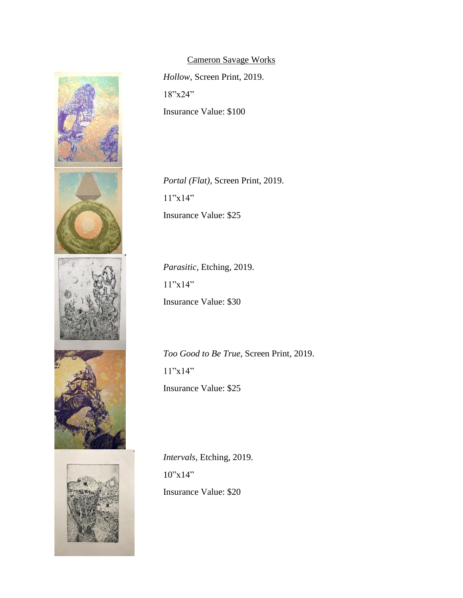

Cameron Savage Works *Hollow*, Screen Print, 2019. 18"x24" Insurance Value: \$100

*Portal (Flat)*, Screen Print, 2019. 11"x14" Insurance Value: \$25

*Parasitic*, Etching, 2019. 11"x14" Insurance Value: \$30

*Too Good to Be True*, Screen Print, 2019. 11"x14" Insurance Value: \$25

*Intervals*, Etching, 2019.  $10"x14"$ Insurance Value: \$20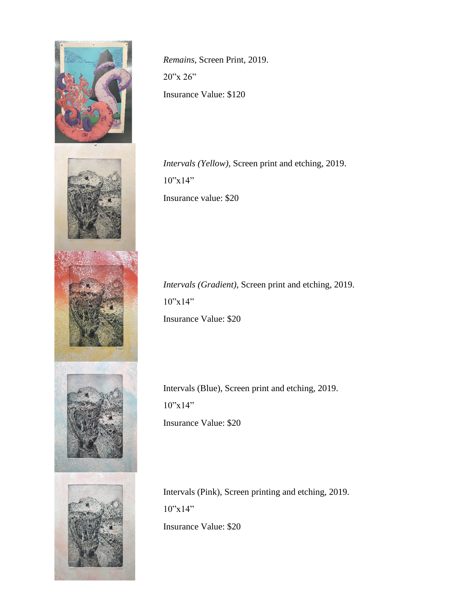

*Remains*, Screen Print, 2019. 20"x 26" Insurance Value: \$120

*Intervals (Yellow),* Screen print and etching, 2019. 10"x14" Insurance value: \$20

*Intervals (Gradient)*, Screen print and etching, 2019.  $10"x14"$ Insurance Value: \$20

Intervals (Blue), Screen print and etching, 2019.  $10"x14"$ Insurance Value: \$20

Intervals (Pink), Screen printing and etching, 2019. 10"x14" Insurance Value: \$20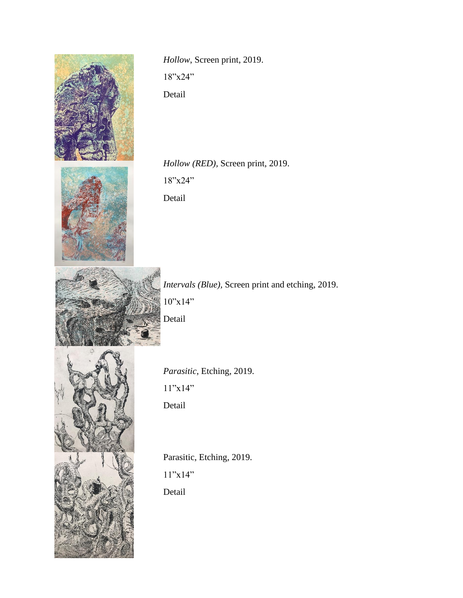

*Hollow*, Screen print, 2019. 18"x24" Detail

*Hollow (RED),* Screen print, 2019. 18"x24" Detail

*Intervals (Blue),* Screen print and etching, 2019.  $10"x14"$ Detail



*Parasitic*, Etching, 2019. 11"x14" Detail

Parasitic, Etching, 2019.  $11"x14"$ Detail